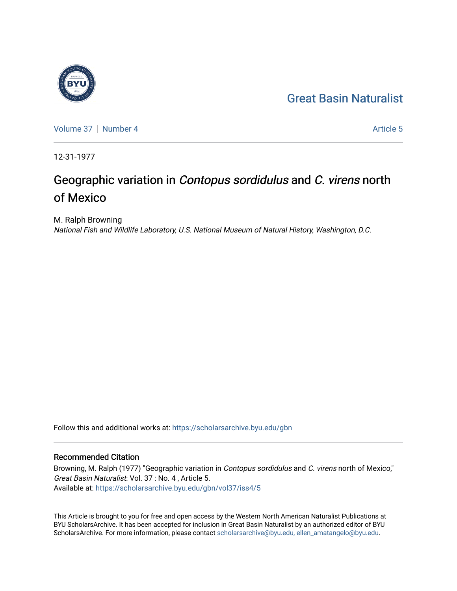## [Great Basin Naturalist](https://scholarsarchive.byu.edu/gbn)



[Volume 37](https://scholarsarchive.byu.edu/gbn/vol37) | [Number 4](https://scholarsarchive.byu.edu/gbn/vol37/iss4) Article 5

12-31-1977

# Geographic variation in Contopus sordidulus and C. virens north of Mexico

M. Ralph Browning National Fish and Wildlife Laboratory, U.S. National Museum of Natural History, Washington, D.C.

Follow this and additional works at: [https://scholarsarchive.byu.edu/gbn](https://scholarsarchive.byu.edu/gbn?utm_source=scholarsarchive.byu.edu%2Fgbn%2Fvol37%2Fiss4%2F5&utm_medium=PDF&utm_campaign=PDFCoverPages) 

### Recommended Citation

Browning, M. Ralph (1977) "Geographic variation in *Contopus sordidulus* and C. virens north of Mexico," Great Basin Naturalist: Vol. 37 : No. 4 , Article 5. Available at: [https://scholarsarchive.byu.edu/gbn/vol37/iss4/5](https://scholarsarchive.byu.edu/gbn/vol37/iss4/5?utm_source=scholarsarchive.byu.edu%2Fgbn%2Fvol37%2Fiss4%2F5&utm_medium=PDF&utm_campaign=PDFCoverPages)

This Article is brought to you for free and open access by the Western North American Naturalist Publications at BYU ScholarsArchive. It has been accepted for inclusion in Great Basin Naturalist by an authorized editor of BYU ScholarsArchive. For more information, please contact [scholarsarchive@byu.edu, ellen\\_amatangelo@byu.edu.](mailto:scholarsarchive@byu.edu,%20ellen_amatangelo@byu.edu)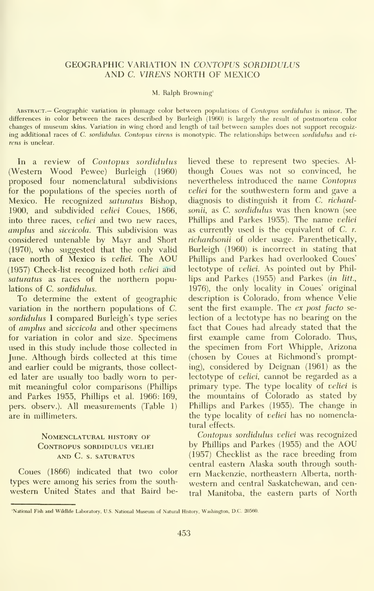#### GEOGRAPHIC VARIATION IN CONTOPUS SORDIDULUS AND C. VIRENS NORTH OF MEXICO

#### M. Ralph Browning'

ABSTRACT.— Geographic variation in plumage color between populations of Contopus sordidulus is minor. The differences in color between the races described by Burleigh (1960) is largely the result of postmortem color changes of museum skins. Variation in wing chord and length of tail between samples does not support recognizing additional races of C. sordidulus. Contopus virens is monotypic. The relationships between sordidulus and virens is unclear.

In a review of Contopus sordidulus (Western Wood Pewee) Burleigh (1960) proposed four nomenclatural subdivisions for the populations of the species north of Mexico. He recognized saturatus Bishop, 1900, and subdivided velici Coues, 1866, into three races, *veliei* and two new races, amplus and siccicola. This subdivision was considered untenable by Mayr and Short (1970), who suggested that the only valid race north of Mexico is veliei. The AOU (1957) Check-list recognized both veliei and saturatus as races of the northern populations of C. sordidulus.

To determine the extent of geographic variation in the northern populations of C. sordidulus I compared Burleigh's type series of amplus and siccicola and other specimens for variation in color and size. Specimens used in this study include those collected in June. Although birds collected at this time and earlier could be migrants, those collect ed later are usually too badly worn to per mit meaningful color comparisons (Phillips and Parkes 1955, Phillips et al. 1966: 169, pers. observ.). All measurements (Table 1) are in millimeters.

#### Nomenclatural history of contropus sordidulus veliei and C. s. saturatus

Coues (1866) indicated that two color types were among his series from the south western United States and that Baird believed these to represent two species. Al though Coues was not so convinced, he nevertheless introduced the name Contopus veliei for the southwestern form and gave a diagnosis to distinguish it from C. richardsonii, as C. sordidulus was then known (see Phillips and Parkes 1955). The name veliei as currently used is the equivalent of  $C$ .  $r$ . richardsonii of older usage. Parenthetically, Burleigh (1960) is incorrect in stating that Phillips and Parkes had overlooked Coues' lectotype of veliei. As pointed out by Phillips and Parkes (1955) and Parkes {in litt., 1976), the only locality in Coues' original description is Colorado, from whence Velie sent the first example. The ex post facto selection of a lectotype has no bearing on the fact that Coues had already stated that the first example came from Colorado. Thus, the specimen from Fort Whipple, Arizona (chosen by Coues at Richmond's prompting), considered by Deignan (1961) as the lectotype of *veliei*, cannot be regarded as a primary type. The type locality of veliei is the mountains of Colorado as stated by Phillips and Parkes (1955). The change in the type locality of veliei has no nomenclatural effects.

Contopus sordidulus veliei was recognized by Phillips and Parkes (1955) and the AOU (1957) Checklist as the race breeding from central eastern Alaska south through south ern Mackenzie, northeastern Alberta, north western and central Saskatchewan, and central Manitoba, the eastern parts of North

National Fish and Wildlife Laboratory, U.S. National Museum of Natural History, Washington, D.C. 20560. [18] N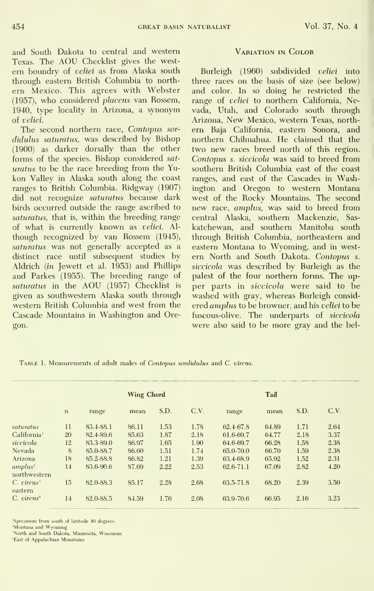and South Dakota to central and western Texas. The AOU Checklist gives the west ern boundry of veliei as from Alaska south through eastern British Columbia to north ern Mexico. This agrees with Webster (1957), who considered placens van Rossem, 1940, type locality in Arizona, a synonym of veliei.

The second northern race, Contopus sor didulus saturatus, was described by Bishop (1900) as darker dorsally than the other forms of the species. Bishop considered sat uratus to be the race breeding from the Yu kon Valley in Alaska south along the coast ranges to British Columbia. Ridgway (1907) did not recognize saturatus because dark birds occurred outside the range ascribed to saturatus, that is, within the breeding range of what is currently known as veliei. Al though recognized by van Rossem (1945), saturatus was not generally accepted as a distinct race until subsequent studies by Aldrich {in Jewett et al. 1953) and Phillips and Parkes (1955). The breeding range of saturatus in the AOU (1957) Checklist is given as southwestern Alaska south through western British Columbia and west from the Cascade Mountains in Washington and Oregon.

#### Variation in Color

Burleigh (1960) subdivided veliei into three races on the basis of size (see below) and color. In so doing he restricted the range of veliei to northern California, Nevada, Utah, and Colorado south through Arizona, New Mexico, western Texas, north ern Baja California, eastern Sonora, and northern Chihuahua. He claimed that the two new races breed north of this region. Contopus s. siccicola was said to breed from southern British Columbia east of the coast ranges, and east of the Cascades in Washington and Oregon to western Montana west of the Rocky Mountains. The second new race, amplus, was said to breed from central Alaska, southern Mackenzie, Sas katchewan, and southern Manitoba south through British Columbia, northeastern and eastern Montana to Wyoming, and in west em North and South Dakota. Contopus s. siccicola was described by Burleigh as the palest of the four northern forms. The up per parts in siccicola were said to be washed with gray, whereas Burleigh consid ered amplus to be browner, and his veliei to be fuscous-olive. The underparts of siccicola were also said to be more gray and the bel-

TABLE 1. Measurements of adult males of Contopus sordidulus and C. virens.

|                                                  | <b>Wing Chord</b> |           |       |      |      | Tail      |       |      |      |
|--------------------------------------------------|-------------------|-----------|-------|------|------|-----------|-------|------|------|
|                                                  | $\mathbf n$       | range     | mean  | S.D. | C.V. | range     | mean  | S.D. | C.V. |
| saturatus                                        | 11                | 83.4-88.1 | 86.11 | 1.53 | 1.78 | 62.4-67.8 | 64.89 | 1.71 | 2.64 |
| California <sup>1</sup>                          | 20                | 82.4-89.6 | 85.63 | 1.87 | 2.18 | 61.6-69.7 | 64.77 | 2.18 | 3.37 |
| siccicola                                        | 12                | 83.3-89.0 | 86.97 | 1.65 | 1.90 | 64.6-69.7 | 66.28 | 1.58 | 2.38 |
| Nevada                                           | 8                 | 85.0-88.7 | 86.60 | 1.51 | 1.74 | 65.0-70.0 | 66.70 | 1.59 | 2.38 |
| Arizona                                          | 18                | 85.2-88.8 | 86.82 | 1.21 | 1.39 | 63.4-68.9 | 65.92 | 1.52 | 2.31 |
| amplus <sup>2</sup><br>northwestern              | 14                | 83.6-90.6 | 87.69 | 2.22 | 2.53 | 62.6-71.1 | 67.09 | 2.82 | 4.20 |
| $C.$ $\tau$ <i>irens</i> <sup>3</sup><br>eastern | 15                | 82.0-88.3 | 85.17 | 2.28 | 2.68 | 63.5-71.8 | 68.20 | 2.39 | 3.50 |
| $C.$ virens <sup><math>4</math></sup>            | 14                | 82.0-88.5 | 84.59 | 1.76 | 2.08 | 63.9-70.6 | 66.95 | 2.16 | 3.23 |

'Specimens from south of latitude 40 degrees

'Montana and Wyoming

'North and South Dakota, Minnesota, Wisconsin

'East of Appalachian Mountains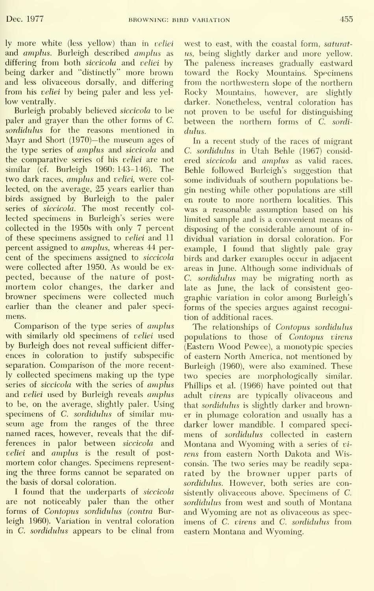ly more white (less yellow) than in veliei and amplus. Burleigh described amplus as differing from both siccicola and veliei by being darker and "distinctly" more brown and less olivaceous dorsally, and differing from his veliei by being paler and less yel low ventrally.

Burleigh probably believed siccicola to be paler and grayer than the other forms of C sordidulus for the reasons mentioned in Mayr and Short (1970)—the museum ages of the type series of amplus and siccicola and the comparative series of his veliei are not similar (cf. Burleigh 1960: 143-146). The two dark races, amplus and veliei, were collected, on the average, 25 years earlier than birds assigned by Burleigh to the paler series of siccicola. The most recently col lected specimens in Burleigh's series were collected in the 1950s with only 7 percent of these specimens assigned to veliei and 11 percent assigned to *amplus*, whereas 44 percent of the specimens assigned to siccicola were collected after 1950. As would be ex pected, because of the nature of post mortem color changes, the darker and browner specimens were collected much earlier than the cleaner and paler speci mens.

Comparison of the type series of *amplus* with similarly old specimens of veliei used by Burleigh does not reveal sufficient differ ences in coloration to justify subspecific separation. Comparison of the more recently collected specimens making up the type series of siccicola with the series of amplus and veliei used by Burleigh reveals amplus to be, on the average, slightly paler. Using specimens of C. sordidulus of similar museum age from the ranges of the three named races, however, reveals that the dif ferences in palor between siccicola and veliei and amplus is the result of postmortem color changes. Specimens represent ing the three forms cannot be separated on the basis of dorsal coloration.

<sup>I</sup> found that the underparts of siccicola are not noticeably paler than the other forms of Contopus sordidulus (contra Burleigh 1960). Variation in ventral coloration in  $C$ . sordidulus appears to be clinal from

west to east, with the coastal form, saturatus, being slightly darker and more yellow. The paleness increases gradually eastward toward the Rocky Mountains. Specimens from the northwestern slope of the northern Rocky Mountains, however, are slightly darker. Nonetheless, ventral coloration has not proven to be useful for distinguishing between the northern forms of C. sordidnlns.

In a recent study of the races of migrant C. sordidulus in Utah Behle (1967) considered siccicola and amplus as valid races. Behle followed Burleigh's suggestion that some individuals of southern populations begin nesting while other populations are still en route to more northern localities. This was a reasonable assumption based on his limited sample and is a convenient means of disposing of the considerable amount of in dividual variation in dorsal coloration. For example, <sup>I</sup> found that slightly pale gray birds and darker examples occur in adjacent areas in June. Although some individuals of C. sordidulus may be migrating north as late as June, the lack of consistent geo graphic variation in color among Burleigh's forms of the species argues against recognition of additional races.

The relationships of Contopus sordidulus populations to those of Contopus virens (Eastern Wood Pewee), <sup>a</sup> monotypic species of eastern North America, not mentioned by Burleigh (1960), were also examined. These two species are morphologically similar. Phillips et al. (1966) have pointed out that adult virens are typically olivaceous and that sordidulus is slightly darker and browner in plumage coloration and usually has a darker lower mandible. <sup>I</sup> compared speci mens of sordidulus collected in eastern Montana and Wyoming with <sup>a</sup> series of vi rens from eastern North Dakota and Wisconsin. The two series may be readily sepa rated by the browner upper parts of sordidulus. However, both series are consistently olivaceous above. Specimens of C. sordidulus from west and south of Montana and Wyoming are not as olivaceous as spec imens of C. virens and C. sordidulus from eastern Montana and Wyoming.